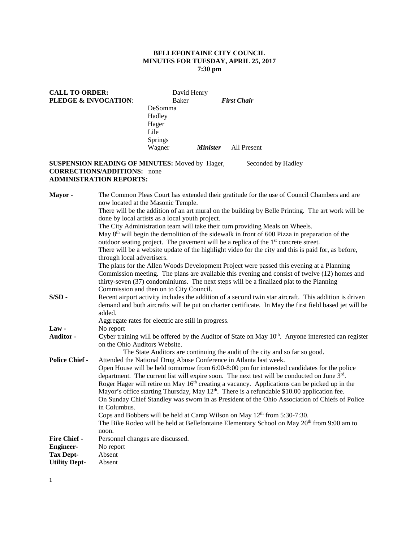### **BELLEFONTAINE CITY COUNCIL MINUTES FOR TUESDAY, APRIL 25, 2017 7:30 pm**

| <b>CALL TO ORDER:</b><br><b>PLEDGE &amp; INVOCATION:</b> | David Henry<br>Baker |                 | <b>First Chair</b> |
|----------------------------------------------------------|----------------------|-----------------|--------------------|
|                                                          | DeSomma              |                 |                    |
|                                                          | Hadley               |                 |                    |
|                                                          | Hager                |                 |                    |
|                                                          | Lile                 |                 |                    |
|                                                          | <b>Springs</b>       |                 |                    |
|                                                          | Wagner               | <i>Minister</i> | All Present        |

## **SUSPENSION READING OF MINUTES:** Moved by Hager, Seconded by Hadley **CORRECTIONS/ADDITIONS:** none **ADMINISTRATION REPORTS:**

**Mayor -** The Common Pleas Court has extended their gratitude for the use of Council Chambers and are now located at the Masonic Temple. There will be the addition of an art mural on the building by Belle Printing. The art work will be done by local artists as a local youth project. The City Administration team will take their turn providing Meals on Wheels. May  $8<sup>th</sup>$  will begin the demolition of the sidewalk in front of 600 Pizza in preparation of the outdoor seating project. The pavement will be a replica of the  $1<sup>st</sup>$  concrete street. There will be a website update of the highlight video for the city and this is paid for, as before, through local advertisers. The plans for the Allen Woods Development Project were passed this evening at a Planning Commission meeting. The plans are available this evening and consist of twelve (12) homes and thirty-seven (37) condominiums. The next steps will be a finalized plat to the Planning Commission and then on to City Council. **S/SD -** Recent airport activity includes the addition of a second twin star aircraft. This addition is driven demand and both aircrafts will be put on charter certificate. In May the first field based jet will be added. Aggregate rates for electric are still in progress. Law - No report **Auditor -** Cyber training will be offered by the Auditor of State on May 10<sup>th</sup>. Anyone interested can register on the Ohio Auditors Website. The State Auditors are continuing the audit of the city and so far so good. **Police Chief -** Attended the National Drug Abuse Conference in Atlanta last week. Open House will be held tomorrow from 6:00-8:00 pm for interested candidates for the police department. The current list will expire soon. The next test will be conducted on June  $3<sup>rd</sup>$ . Roger Hager will retire on May 16<sup>th</sup> creating a vacancy. Applications can be picked up in the Mayor's office starting Thursday, May 12<sup>th</sup>. There is a refundable \$10.00 application fee. On Sunday Chief Standley was sworn in as President of the Ohio Association of Chiefs of Police in Columbus. Cops and Bobbers will be held at Camp Wilson on May  $12<sup>th</sup>$  from 5:30-7:30. The Bike Rodeo will be held at Bellefontaine Elementary School on May  $20<sup>th</sup>$  from 9:00 am to noon. **Fire Chief -** Personnel changes are discussed. **Engineer-** No report **Tax Dept-** Absent **Utility Dept-** Absent

1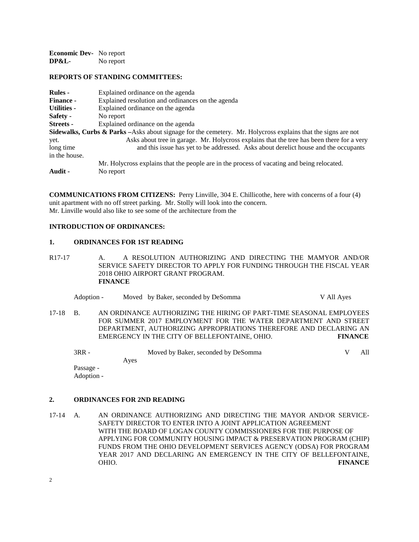**Economic Dev-** No report<br>DP&L- No report No report

#### **REPORTS OF STANDING COMMITTEES:**

| <b>Rules</b> -     | Explained ordinance on the agenda                                                                                        |
|--------------------|--------------------------------------------------------------------------------------------------------------------------|
| <b>Finance -</b>   | Explained resolution and ordinances on the agenda                                                                        |
| <b>Utilities -</b> | Explained ordinance on the agenda                                                                                        |
| Safety -           | No report                                                                                                                |
| <b>Streets</b> -   | Explained ordinance on the agenda                                                                                        |
|                    | <b>Sidewalks, Curbs &amp; Parks</b> – Asks about signage for the cemetery. Mr. Holycross explains that the signs are not |
| yet.               | Asks about tree in garage. Mr. Holycross explains that the tree has been there for a very                                |
| long time          | and this issue has yet to be addressed. Asks about derelict house and the occupants                                      |
| in the house.      |                                                                                                                          |
|                    | Mr. Holycross explains that the people are in the process of vacating and being relocated.                               |
| Audit -            | No report                                                                                                                |
|                    |                                                                                                                          |

**COMMUNICATIONS FROM CITIZENS:** Perry Linville, 304 E. Chillicothe, here with concerns of a four (4) unit apartment with no off street parking. Mr. Stolly will look into the concern. Mr. Linville would also like to see some of the architecture from the

## **INTRODUCTION OF ORDINANCES:**

#### **1. ORDINANCES FOR 1ST READING**

R17-17 A. A RESOLUTION AUTHORIZING AND DIRECTING THE MAMYOR AND/OR SERVICE SAFETY DIRECTOR TO APPLY FOR FUNDING THROUGH THE FISCAL YEAR 2018 OHIO AIRPORT GRANT PROGRAM. **FINANCE**

| Adoption -<br>Moved by Baker, seconded by DeSomma | V All Aves |
|---------------------------------------------------|------------|
|---------------------------------------------------|------------|

17-18 B. AN ORDINANCE AUTHORIZING THE HIRING OF PART-TIME SEASONAL EMPLOYEES FOR SUMMER 2017 EMPLOYMENT FOR THE WATER DEPARTMENT AND STREET DEPARTMENT, AUTHORIZING APPROPRIATIONS THEREFORE AND DECLARING AN EMERGENCY IN THE CITY OF BELLEFONTAINE, OHIO. **FINANCE**

| 3RR -      |      | Moved by Baker, seconded by DeSomma |  | A11. |
|------------|------|-------------------------------------|--|------|
|            | Aves |                                     |  |      |
| Passage -  |      |                                     |  |      |
| Adoption - |      |                                     |  |      |

**2. ORDINANCES FOR 2ND READING**

17-14 A. AN ORDINANCE AUTHORIZING AND DIRECTING THE MAYOR AND/OR SERVICE-SAFETY DIRECTOR TO ENTER INTO A JOINT APPLICATION AGREEMENT WITH THE BOARD OF LOGAN COUNTY COMMISSIONERS FOR THE PURPOSE OF APPLYING FOR COMMUNITY HOUSING IMPACT & PRESERVATION PROGRAM (CHIP) FUNDS FROM THE OHIO DEVELOPMENT SERVICES AGENCY (ODSA) FOR PROGRAM YEAR 2017 AND DECLARING AN EMERGENCY IN THE CITY OF BELLEFONTAINE, OHIO. **FINANCE**

2